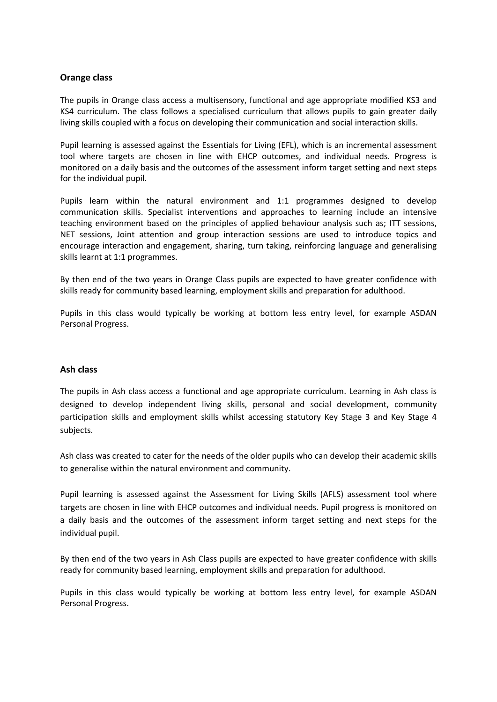## **Orange class**

The pupils in Orange class access a multisensory, functional and age appropriate modified KS3 and KS4 curriculum. The class follows a specialised curriculum that allows pupils to gain greater daily living skills coupled with a focus on developing their communication and social interaction skills.

Pupil learning is assessed against the Essentials for Living (EFL), which is an incremental assessment tool where targets are chosen in line with EHCP outcomes, and individual needs. Progress is monitored on a daily basis and the outcomes of the assessment inform target setting and next steps for the individual pupil.

Pupils learn within the natural environment and 1:1 programmes designed to develop communication skills. Specialist interventions and approaches to learning include an intensive teaching environment based on the principles of applied behaviour analysis such as; ITT sessions, NET sessions, Joint attention and group interaction sessions are used to introduce topics and encourage interaction and engagement, sharing, turn taking, reinforcing language and generalising skills learnt at 1:1 programmes.

By then end of the two years in Orange Class pupils are expected to have greater confidence with skills ready for community based learning, employment skills and preparation for adulthood.

Pupils in this class would typically be working at bottom less entry level, for example ASDAN Personal Progress.

## **Ash class**

The pupils in Ash class access a functional and age appropriate curriculum. Learning in Ash class is designed to develop independent living skills, personal and social development, community participation skills and employment skills whilst accessing statutory Key Stage 3 and Key Stage 4 subjects.

Ash class was created to cater for the needs of the older pupils who can develop their academic skills to generalise within the natural environment and community.

Pupil learning is assessed against the Assessment for Living Skills (AFLS) assessment tool where targets are chosen in line with EHCP outcomes and individual needs. Pupil progress is monitored on a daily basis and the outcomes of the assessment inform target setting and next steps for the individual pupil.

By then end of the two years in Ash Class pupils are expected to have greater confidence with skills ready for community based learning, employment skills and preparation for adulthood.

Pupils in this class would typically be working at bottom less entry level, for example ASDAN Personal Progress.